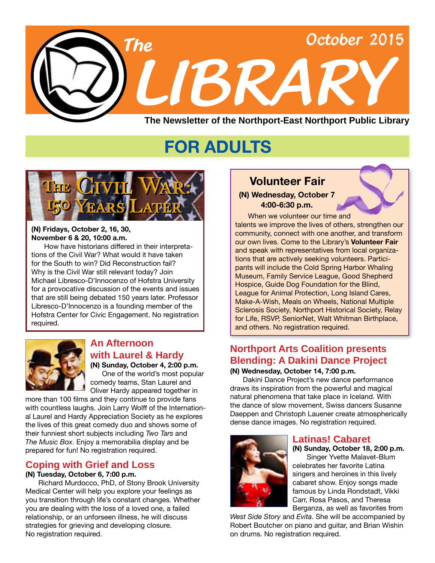

## **FOR ADULTS**



#### **(N) Fridays, October 2, 16, 30, November 6 & 20, 10:00 a.m.**

 How have historians differed in their interpretations of the Civil War? What would it have taken for the South to win? Did Reconstruction fail? Why is the Civil War still relevant today? Join Michael Libresco-D'Innocenzo of Hofstra University for a provocative discussion of the events and issues that are still being debated 150 years later. Professor Libresco-D'Innocenzo is a founding member of the Hofstra Center for Civic Engagement. No registration required.



#### **An Afternoon with Laurel & Hardy**

**(N) Sunday, October 4, 2:00 p.m.** One of the world's most popular comedy teams, Stan Laurel and Oliver Hardy appeared together in

more than 100 films and they continue to provide fans with countless laughs. Join Larry Wolff of the International Laurel and Hardy Appreciation Society as he explores the lives of this great comedy duo and shows some of their funniest short subjects including *Two Tars* and *The Music Box*. Enjoy a memorabilia display and be prepared for fun! No registration required.

### **Coping with Grief and Loss**

#### **(N) Tuesday, October 6, 7:00 p.m.**

Richard Murdocco, PhD, of Stony Brook University Medical Center will help you explore your feelings as you transition through life's constant changes. Whether you are dealing with the loss of a loved one, a failed relationship, or an unforseen illness, he will discuss strategies for grieving and developing closure. No registration required.

## **4:00-6:30 p.m.**

When we volunteer our time and talents we improve the lives of others, strengthen our community, connect with one another, and transform our own lives. Come to the Library's **Volunteer Fair** and speak with representatives from local organizations that are actively seeking volunteers. Participants will include the Cold Spring Harbor Whaling Museum, Family Service League, Good Shepherd Hospice, Guide Dog Foundation for the Blind, League for Animal Protection, Long Island Cares, Make-A-Wish, Meals on Wheels, National Multiple Sclerosis Society, Northport Historical Society, Relay for Life, RSVP, SeniorNet, Walt Whitman Birthplace, and others. No registration required.

### **Northport Arts Coalition presents Blending: A Dakini Dance Project**

#### **(N) Wednesday, October 14, 7:00 p.m.**

Dakini Dance Project's new dance performance draws its inspiration from the powerful and magical natural phenomena that take place in Iceland. With the dance of slow movement, Swiss dancers Susanne Daeppen and Christoph Lauener create atmospherically dense dance images. No registration required.



### **Latinas! Cabaret**

**(N) Sunday, October 18, 2:00 p.m.**

Singer Yvette Malavet-Blum celebrates her favorite Latina singers and heroines in this lively cabaret show. Enjoy songs made famous by Linda Rondstadt, Vikki Carr, Rosa Pasos, and Theresa Berganza, as well as favorites from

*West Side Story* and *Evita*. She will be accompanied by Robert Boutcher on piano and guitar, and Brian Wishin on drums. No registration required.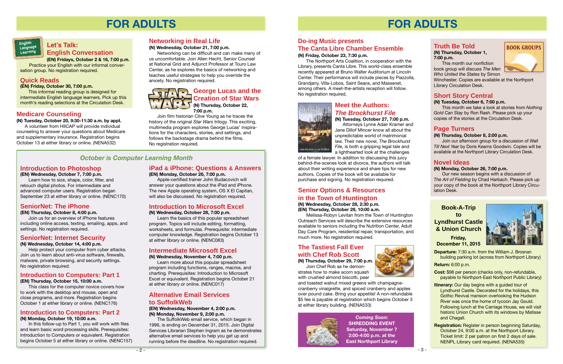**(N) Thursday, October 1, 7:00 p.m.**

 This month our nonfiction book group will discuss *The Men Who United the States* by Simon

Winchester. Copies are available at the Northport Library Circulation Desk.

### **Short Story Central**

#### **(N) Tuesday, October 6, 7:00 p.m.**

This month we take a look at stories from *Nothing Gold Can Stay* by Ron Rash. Please pick up your copies of the stories at the Circulation Desk.

#### **Page Turners**

#### **(N) Thursday, October 8, 2:00 p.m.**

Join our afternoon group for a discussion of *Wait Till Next Year* by Doris Kearns Goodwin. Copies will be available at the Northport Library Circulation Desk.

### **Novel Ideas**

#### **(N) Monday, October 26, 7:00 p.m.**

Our new season begins with a discussion of *The Art of Fielding* by Chad Harbach. Please pick up your copy of the book at the Northport Library Circulation Desk.

## **FOR ADULTS**

### **Truth Be Told BOOK GROUPS**

*Coming Soon:* **SHREDDING EVENT Saturday, November 7 2:00-4:00 p.m. at the East Northport Library**

### **Do-ing Music presents The Canta Libre Chamber Ensemble**

#### **(N) Friday, October 23, 7:30 p.m.**

The Northport Arts Coalition, in cooperation with the Library, presents Canta Libre. This world-class ensemble recently appeared at Bruno Walter Auditorium at Lincoln Center. Their performance will include pieces by Piazzolla, Grandjany, Villa-Lobos, Saint Seans, and Massenet, among others. A meet-the-artists reception will follow. No registration required.



\$5 fee is payable at registration which begins October 3 at either library building. ([NENA533](http://alpha2.suffolk.lib.ny.us/search/?searchtype=X&SORT=D&searcharg=nena533&searchscope=43))



**Meet the Authors:** *The Brockhurst File*

**(N) Tuesday, October 27, 7:00 p.m.** Attorneys Lynne Adair Kramer and Jane Dillof Mincer know all about the unpredictable world of matrimonial law. Their new novel, *The Brockhurst File,* is both a gripping legal tale and a lighthearted look at the challenges

of a female lawyer. In addition to discussing this juicy behind-the-scenes look at divorce, the authors will talk about their writing experience and share tips for new authors. Copies of the book will be available for purchase and signing. No registration required.

## **Senior Options & Resources in the Town of Huntington**

**(N) Wednesday, October 28, 2:30 p.m. (EN) Thursday, October 29, 10:00 a.m.**

Melissa-Robyn Levitan from the Town of Huntington Outreach Services will describe the extensive resources available to seniors including the Nutrition Center, Adult Day Care Program, residential repair, transportation, and much more. No registration required.

## **The Tastiest Fall Ever with Chef Rob Scott**

**(N) Thursday, October 29, 7:00 p.m.** Join Chef Rob as he demonstrates how to make acorn squash



with crushed almond biscotti, pear and toasted walnut mixed greens with champagnecranberry vinaigrette, and spiced cranberry and apples over pound cake. Bring your appetite! A non-refundable

#### **Book-A-Trip to Lyndhurst Castle & Union Church**

**Friday, December 11, 2015**



**Departure:** 7:30 a.m. from the William J. Brosnan building parking lot (across from Northport Library)

**Return:** 6:00 p.m.

**Cost:** \$98 per person (checks only, non-refundable, payable to Northport-East Northport Public Library)

- **Itinerary:** Our day begins with a guided tour of Lyndhurst Castle. Decorated for the holidays, this Gothic Revival mansion overlooking the Hudson River was once the home of tycoon Jay Gould. Following lunch at the Carriage House, we will visit historic Union Church with its windows by Matisse and Chagall.
- **Registration:** Register in person beginning Saturday, October 24, 9:00 a.m. at the Northport Library. Ticket limit: 2 per patron on first 2 days of sale. NENPL Library card required. ([NENA5](http://alpha2.suffolk.lib.ny.us/search/?searchtype=X&SORT=D&searcharg=nena535&searchscope=43)35)



## **FOR ADULTS**

#### **Medicare Counseling**

**(N) Tuesday, October 20, 9:30-11:30 a.m. by appt.** A volunteer from HIICAP will provide individual counseling to answer your questions about Medicare and supplementary insurance. Registration begins October 13 at either library or online. [\(NENA532\)](http://alpha2.suffolk.lib.ny.us/search/?searchtype=X&SORT=D&searcharg=nena532&searchscope=43)

### **Let's Talk: English Conversation**



**(EN) Fridays, October 2 & 16, 7:00 p.m.** Practice your English with our informal conversation group. No registration required.

#### **Quick Reads**

#### **(EN) Friday, October 30, 7:00 p.m.**

This informal reading group is designed for intermediate English language learners. Pick up this month's reading selections at the Circulation Desk.

#### **Introduction to Photoshop**

**(EN) Wednesday, October 7, 7:00 p.m.** Learn how to size, shape, color, filter, and retouch digital photos. For intermediate and advanced computer users. Registration began September 23 at either library or online. [\(NENC170\)](http://alpha2.suffolk.lib.ny.us/search/?searchtype=X&SORT=D&searcharg=nenc170&searchscope=43)

#### **iPad & iPhone: Questions & Answers**

#### **(EN) Monday, October 26, 7:00 p.m.**

 Apple-certified trainer John Budacovich will answer your questions about the iPad and iPhone. The new Apple operating system, OS X El Capitan, will also be discussed. No registration required.

### **SeniorNet: The iPhone**

#### **(EN) Thursday, October 8, 4:00 p.m.**

Join us for an overview of iPhone features including online access, texting, emailing, apps, and settings. No registration required.

#### **Intermediate Microsoft Excel**

#### **(N) Wednesday, November 4, 7:00 p.m.**

Learn more about this popular spreadsheet program including functions, ranges, macros, and charting. Prerequisites: Introduction to Microsoft Excel or equivalent. Registration begins October 21 at either library or online. ([NENC017](http://alpha2.suffolk.lib.ny.us/search/?searchtype=X&SORT=D&searcharg=nenc017&searchscope=43))

### **Introduction to Microsoft Excel**

**(N) Wednesday, October 28, 7:00 p.m.**

Learn the basics of this popular spreadsheet program. Topics will include editing, formatting, worksheets, and formulas. Prerequisite: intermediate computer knowledge. Registration begins October 13 at either library or online. ([NENC083](http://alpha2.suffolk.lib.ny.us/search/?searchtype=X&SORT=D&searcharg=nenc083&searchscope=43))

#### **Introduction to Computers: Part 1**

#### **(EN) Thursday, October 15, 10:00 a.m.**

This class for the computer novice covers how to work with the desktop and mouse, open and close programs, and more. Registration begins October 1 at either library or online. ([NENC176](http://alpha2.suffolk.lib.ny.us/search/?searchtype=X&SORT=D&searcharg=nenc176&searchscope=43))

#### **Introduction to Computers: Part 2 (N) Monday, October 19, 10:00 a.m.**

 In this follow-up to Part 1, you will work with files and learn basic word processing skills. Prerequisites: Introduction to Computers or equivalent. Registration begins October 5 at either library or online. [\(NENC157\)](http://alpha2.suffolk.lib.ny.us/search/?searchtype=X&SORT=D&searcharg=nenc157&searchscope=43)

#### **SeniorNet: Internet Security**

**(N) Wednesday, October 14, 4:00 p.m.**

Help protect your computer from cyber attacks. Join us to learn about anti-virus software, firewalls, malware, private browsing, and security settings. No registration required.

#### *October is Computer Learning Month*



### **Creation of Star Wars (N) Thursday, October 22,**

**7:00 p.m.**

 Join film historian Clive Young as he traces the history of the original *Star Wars* trilogy. This exciting, multimedia program explores George Lucas' inspirations for the characters, stories, and settings, and follows the backstage drama behind the films. No registration required.

#### **Alternative Email Services to SuffolkWeb**

**(EN) Wednesday, November 4, 2:00 p.m. (N) Monday, November 9, 2:00 p.m.**

 The SuffolkWeb email service, which began in 1996, is ending on December 31, 2015. Join Digital Services Librarian Stephen Ingram as he demonstrates alternative email services to help you get up and running before the deadline. No registration required.

#### **Networking in Real Life**

#### **(N) Wednesday, October 21, 7:00 p.m.**

 Networking can be difficult and can make many of us uncomfortable. Join Allen Hecht, Senior Counsel at National Grid and Adjunct Professor at Touro Law Center, as he explores the basics of networking and teaches useful strategies to help you override the anxiety. No registration required.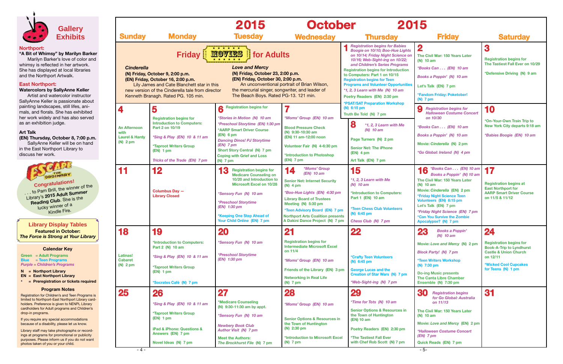

| 2015<br>r                                                                                                                                                                                                                                                                                                                                                                                                                        |                                                                                                                                                                                                                                                                                                             |                                                                                                                                                                        |
|----------------------------------------------------------------------------------------------------------------------------------------------------------------------------------------------------------------------------------------------------------------------------------------------------------------------------------------------------------------------------------------------------------------------------------|-------------------------------------------------------------------------------------------------------------------------------------------------------------------------------------------------------------------------------------------------------------------------------------------------------------|------------------------------------------------------------------------------------------------------------------------------------------------------------------------|
| <b>Thursday</b>                                                                                                                                                                                                                                                                                                                                                                                                                  | <b>Friday</b>                                                                                                                                                                                                                                                                                               | <b>Saturday</b>                                                                                                                                                        |
| <b>Registration begins for Babies</b><br>Boogie on 10/10; Boo-Hue Lights<br>on 10/14; Friday Night Science on<br>10/16; Web-Sight-ing on 10/22;<br>and Children's Series Programs<br>jistration begins for Introduction<br>Computers: Part 1 on 10/15<br><b>istration begins for Teen</b><br>grams and Volunteer Opportunities<br>2, 3 Learn with Me (N) 10 am<br>try Readers (EN) 2:30 pm<br><b>AT/SAT Preparation Workshop</b> | $\mathbf 2$<br>The Civil War: 150 Years Later<br>$(N)$ 10 am<br>*Books Can (EN) 10 am<br>Books a Poppin' (N) 10 am<br>Let's Talk (EN) 7 pm<br>*Fandom Friday: Poketober!<br>$(N)$ 7 pm                                                                                                                      | 3<br><b>Registration begins for</b><br>The Tastiest Fall Ever on 10/29<br>*Defensive Driving (N) 9 am                                                                  |
| $6:15$ pm<br>th Be Told (N) 7 pm<br>8<br>*1, 2, 3 Learn with Me<br>$(N)$ 10 am<br>Page Turners (N) 2 pm<br><b>Senior Net: The iPhone</b><br>$(EN)$ 4 pm<br>Art Talk (EN) 7 pm                                                                                                                                                                                                                                                    | 9<br><b>Registration begins for</b><br><b>Halloween Costume Concert</b><br>on 10/30<br>*Books Can (EN) 10 am<br>Books a Poppin' (N) 10 am<br>Movie: Cinderella (N) 2 pm<br>*Go Global: Ireland (N) 4 pm                                                                                                     | 10<br>*On-Your-Own Train Trip to<br>New York City departs 9:18 am<br>*Babies Boogie (EN) 10 am                                                                         |
| 15<br>*1, 2, 3 Learn with Me<br>$(N)$ 10 am<br>*Introduction to Computers:<br>Part 1 (EN) 10 am<br><b>*Teen Chess Club Volunteers</b><br>(N) 6:45 pm<br>Chess Club (N) 7 pm                                                                                                                                                                                                                                                      | *Books Can (EN) 10 am<br>Books a Poppin' (N) 10 am<br>The Civil War: 150 Years Later<br>(N) 10 am<br>Movie: Cinderella (EN) 2 pm<br>*Friday Night Science Teen<br>Volunteers (EN) 6:15 pm<br>Let's Talk (EN) 7 pm<br>*Friday Night Science (EN) 7 pm<br>*Can You Survive the Zombie<br>Apocalypse? (N) 7 pm | 17<br><b>Registration begins at</b><br><b>East Northport for</b><br><b>AARP Smart Driver Course</b><br>on 11/5 & 11/12                                                 |
| 22<br><b>*Crafty Teen Volunteers</b><br>$(N)$ 6:45 pm<br><b>George Lucas and the</b><br><b>Creation of Star Wars (N) 7 pm</b><br>*Web-Sight-ing (N) 7 pm                                                                                                                                                                                                                                                                         | 23<br><b>Books a Poppin'</b><br>$(N)$ 10 am<br>Movie: Love and Mercy (N) 2 pm<br><b>Block Party!</b> (N) 7 pm<br><b>*Teen Writers Workshop</b><br>$(N)$ 7:30 pm<br><b>Do-ing Music presents</b><br><b>The Canta Libre Chamber</b><br>Ensemble (N) 7:30 pm                                                   | 24<br><b>Registration begins for</b><br><b>Book-A-Trip to Lyndhurst</b><br><b>Castle &amp; Union Church</b><br>on 12/11<br>*Wicked Cool Cupcakes<br>for Teens (N) 1 pm |
| 29<br>*Time for Tots (N) 10 am<br><b>Senior Options &amp; Resources in</b><br>the Town of Huntington<br>(EN) 10 am<br>Poetry Readers (EN) 2:30 pm<br><b>*The Tastiest Fall Ever</b><br>with Chef Rob Scott (N) 7 pm                                                                                                                                                                                                              | 30<br><b>Registration begins</b><br>for Go Global: Australia<br>on 11/13<br>The Civil War: 150 Years Later<br>$(N)$ 10 am<br>Movie: Love and Mercy (EN) 2 pm<br>*Halloween Costume Concert<br>$(EN)$ 7 pm<br>Quick Reads (EN) 7 pm                                                                          | 31                                                                                                                                                                     |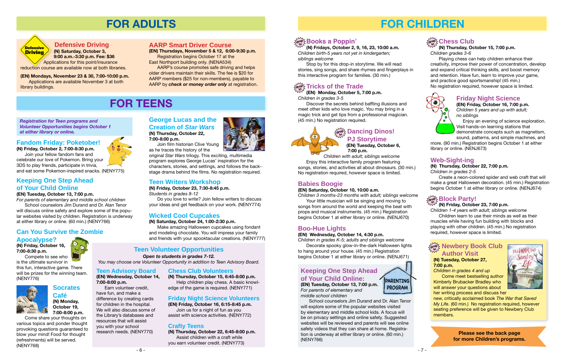## **FOR CHILDREN**

- 7 -

#### **Keeping One Step Ahead of Your Child Online: (EN) Tuesday, October 13, 7:00 p.m.** *For parents of elementary and*

*middle school children*

School counselors Jim Durand and Dr. Alan Tenor will explore some of the popular websites visited by elementary and middle school kids. A focus will be on privacy settings and online safety. Suggested websites will be reviewed and parents will see online safety videos that they can share at home. Registration is underway at either library or online. (60 min.) [\(NENY766\)](http://alpha2.suffolk.lib.ny.us/search/?searchtype=X&SORT=D&searcharg=neny766&searchscope=43)

## $\frac{\partial^2 f}{\partial x^2}$  Newbery Book Club **Author Visit**



*Children 1-4 years with adult; siblings welcome* Children learn to use their minds as well as their muscles while having fun building with blocks and playing with other children. (45 min.) No registration required, however space is limited.

#### **(N) Tuesday, October 27, 7:00 p.m.**

*Children in grades 4 and up* Come meet bestselling author

Kimberly Brubacker Bradley who will answer your questions about her writing process and discuss her



new, critically acclaimed book *The War that Saved My Life*. (60 min.) No registration required, however seating preference will be given to Newbery Club members.

**(EN) Monday, October 5, 7:00 p.m.** *Children in grades 3-5*

 Discover the secrets behind baffling illusions and meet other kids who love magic. You may bring in a magic trick and get tips from a professional magician. (45 min.) No registration required.

**(N) Fridays, October 2, 9, 16, 23, 10:00 a.m.** *Children birth-5 years not yet in kindergarten; siblings welcome*

Stop by for this drop-in storytime. We will read stories, sing songs, and share rhymes and fingerplays in this interactive program for families. (30 min.)

## $\frac{d}{dx}$ ନ୍ତୁ Tricks of the Trade

### **Babies Boogie**

#### **(EN) Saturday, October 10, 10:00 a.m.**

*Children 3 months-23 months with adult; siblings welcome* Your little musician will be singing and moving to songs from around the world and keeping the beat with

props and musical instruments. (45 min.) Registration begins October 1 at either library or online. [\(NENJ670\)](http://alpha2.suffolk.lib.ny.us/search/?searchtype=X&SORT=D&searcharg=nenj670&searchscope=43)

#### **Web-Sight-ing**

## **Block Party! drop**

#### **(N) Thursday, October 22, 7:00 p.m.**

#### **(N) Friday, October 23, 7:00 p.m. in**

*Children in grades 2-5*

Create a neon-colored spider and web craft that will make a great Halloween decoration. (45 min.) Registration begins October 1 at either library or online. [\(NENJ674\)](http://alpha2.suffolk.lib.ny.us/search/?searchtype=X&SORT=D&searcharg=nenj674&searchscope=43)

#### **Friday Night Science**

**(EN) Friday, October 16, 7:00 p.m.** *Children 5 years and up with adult; no siblings*

 Enjoy an evening of science exploration. Visit hands-on learning stations that demonstrate concepts such as magnetism, sound, patterns, and simple machines, and

more. (90 min.) Registration begins October 1 at either library or online. ([NENJ673](http://alpha2.suffolk.lib.ny.us/search/?searchtype=X&SORT=D&searcharg=nenj673&searchscope=43))

**(N) Thursday, October 15, 7:00 p.m.**

*Children grades 3-6*

Playing chess can help children enhance their creativity, improve their power of concentration, develop and expand critical thinking skills, and boost memory and retention. Have fun, learn to improve your game, and practice good sportsmanship! (45 min.) No registration required, however space is limited.



### **Boo-Hue Lights**

**(EN) Wednesday, October 14, 4:30 p.m.**

## **Chess Club drop in**

*Children in grades K-5; adults and siblings welcome* Decorate spooky glow-in-the-dark Halloween lights to hang around your house. (45 min.) Registration

begins October 1 at either library or online. [\(NENJ671\)](http://alpha2.suffolk.lib.ny.us/search/?searchtype=X&SORT=D&searcharg=nenj671&searchscope=43)

**Please see the back page for more Children's programs.** 



 **Dancing Dinos! PJ Storytime**

> **(EN) Tuesday, October 6, 7:00 p.m.**

 *Children with adult; siblings welcome* Enjoy this interactive family program featuring

songs, stories, and activities all about dinosaurs. (30 min.) No registration required, however space is limited.



## **FOR TEENS**

### **Teen Writers Workshop**

**(N) Friday, October 23, 7:30-8:45 p.m.** *Students in grades 8-12*

Do you love to write? Join fellow writers to discuss your ideas and get feedback on your work. ([NENY774](http://alpha2.suffolk.lib.ny.us/search/?searchtype=X&SORT=D&searcharg=neny774&searchscope=43))

*Registration for Teen programs and Volunteer Opportunities begins October 1 at either library or online.*

### **Teen Volunteer Opportunities**

## *Open to students in grades 7-12.*

*You may choose one Volunteer Opportunity in addition to Teen Advisory Board.* 

#### **Keeping One Step Ahead of Your Child Online**

**(EN) Tuesday, October 13, 7:00 p.m.**

*For parents of elementary and middle school children* School counselors Jim Durand and Dr. Alan Tenor

will discuss online safety and explore some of the popular websites visited by children. Registration is underway at either library or online. (60 min.) ([NENY766\)](http://alpha2.suffolk.lib.ny.us/search/?searchtype=X&SORT=D&searcharg=neny766&searchscope=43)

## **George Lucas and the Creation of** *Star Wars* **(N) Thursday, October 22,**

**7:00-8:00 p.m.** Join film historian Clive Young

as he traces the history of the original *Star Wars* trilogy. This exciting, multimedia

program explores George Lucas' inspiration for the characters, stories, and settings, and follows the backstage drama behind the films. No registration required.

## **Socrates**

**Café (N) Monday, October 19, 7:00-8:00 p.m.**

Come share your thoughts on various topics and ponder thought provoking questions guaranteed to blow your mind! Food for thought (refreshments) will be served. ([NENY768](http://alpha2.suffolk.lib.ny.us/search/?searchtype=X&SORT=D&searcharg=neny768&searchscope=43))



#### **Chess Club Volunteers**

**(N) Thursday, October 15, 6:45-8:00 p.m.** Help children play chess. A basic knowledge of the game is required. ([NENY771\)](http://alpha2.suffolk.lib.ny.us/search/?searchtype=X&SORT=D&searcharg=neny771&searchscope=43)

#### **Friday Night Science Volunteers**

**(EN) Friday, October 16, 6:15-8:45 p.m.** Join us for a night of fun as you

assist with science activities. ([NENY772](http://alpha2.suffolk.lib.ny.us/search/?searchtype=X&SORT=D&searcharg=neny772&searchscope=43))

#### **Crafty Teens**

**(N) Thursday, October 22, 6:45-8:00 p.m.** Assist children with a craft while you earn volunteer credit. ([NENY773\)](http://alpha2.suffolk.lib.ny.us/search/?searchtype=X&SORT=D&searcharg=neny773&searchscope=43)



## $\frac{d}{dt}$ የሚ **Books a Poppin**'

### **Wicked Cool Cupcakes**

#### **(N) Saturday, October 24, 1:00-2:30 p.m.**

Make amazing Halloween cupcakes using fondant and modeling chocolate. You will impress your family and friends with your spooktacular creations. [\(NENY777](http://alpha2.suffolk.lib.ny.us/search/?searchtype=X&SORT=D&searcharg=neny777&searchscope=43))

#### **Fandom Friday: Poketober!**

**(N) Friday, October 2, 7:00-8:30 p.m.** Join your fellow fandom fans and celebrate our love of Pokemon. Bring your 3DS to play friends, participate in trivia, and eat some Pokemon-inspired snacks. [\(NENY775\)](http://alpha2.suffolk.lib.ny.us/search/?searchtype=X&SORT=D&searcharg=neny775&searchscope=43)

### **Can You Survive the Zombie**

#### **Apocalypse? (N) Friday, October 16,**

**7:00-8:30 p.m.** Compete to see who

is the ultimate survivor in this fun, interactive game. There will be prizes for the winning team. ([NENY776](http://alpha2.suffolk.lib.ny.us/search/?searchtype=X&SORT=D&searcharg=neny776&searchscope=43))



**Teen Advisory Board**

**(EN) Wednesday, October 14, 7:00-8:00 p.m.**

Earn volunteer credit, have fun, and make a difference by creating cards for children in the hospital. We will also discuss some of the Library's databases and resources that will assist you with your school research needs. [\(NENY770\)](http://alpha2.suffolk.lib.ny.us/search/?searchtype=X&SORT=D&searcharg=neny770&searchscope=43)

## **FOR ADULTS**

#### **Defensive Driving**

 **(N) Saturday, October 3, 9:00 a.m.-3:30 p.m. Fee: \$36** Applications for this point/insurance reduction course are available now at both libraries.

**(EN) Mondays, November 23 & 30, 7:00-10:00 p.m.** Applications are available November 3 at both library buildings.



#### **AARP Smart Driver Course**

**(EN) Thursdays, November 5 & 12, 6:00-9:30 p.m.** Registration begins October 17 at the East Northport building only. [\(NENA534](http://alpha2.suffolk.lib.ny.us/search/?searchtype=X&SORT=D&searcharg=nena534&searchscope=43))

AARP's course promotes safe driving and helps older drivers maintain their skills. The fee is \$20 for AARP members (\$25 for non-members), payable to AARP by *check or money order only* at registration.